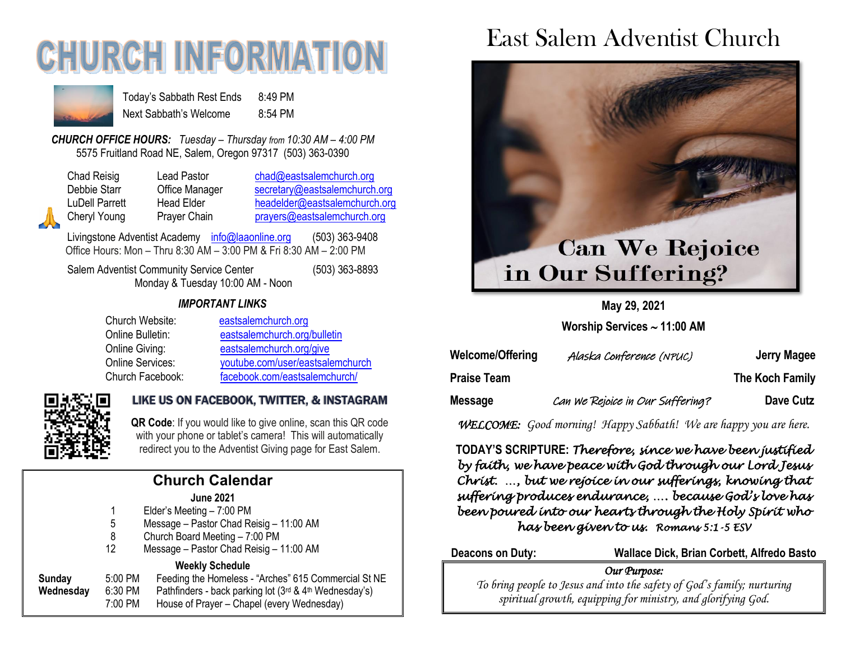## **CHURCH INFORMATIO**



Today's Sabbath Rest Ends 8:49 PM Next Sabbath's Welcome 8:54 PM

*CHURCH OFFICE HOURS: Tuesday – Thursday from 10:30 AM – 4:00 PM* 5575 Fruitland Road NE, Salem, Oregon 97317 (503) 363-0390

| Chad Reisig  |
|--------------|
| Debbie Starr |
| LuDell Parre |
| Cheryl Youn  |
|              |

Lead Pastor [chad@eastsalemchurch.org](mailto:chad@eastsalemchurch.org) Office Manager [secretary@eastsalemchurch.org](mailto:secretary@eastsalemchurch.org) tt Head Elder [headelder@eastsalemchurch.org](mailto:headelder@eastsalemchurch.org) g Prayer Chain [prayers@eastsalemchurch.org](mailto:prayers@eastsalemchurch.org)

Livingstone Adventist Academy [info@laaonline.org](mailto:info@laaonline.org) (503) 363-9408 Office Hours: Mon – Thru 8:30 AM – 3:00 PM & Fri 8:30 AM – 2:00 PM

Salem Adventist Community Service Center (503) 363-8893 Monday & Tuesday 10:00 AM - Noon

#### *IMPORTANT LINKS*

| Church Website:         | eastsalemchurch.org              |
|-------------------------|----------------------------------|
| Online Bulletin:        | eastsalemchurch.org/bulletin     |
| Online Giving:          | eastsalemchurch.org/give         |
| <b>Online Services:</b> | youtube.com/user/eastsalemchurch |
| Church Facebook:        | facebook.com/eastsalemchurch/    |



## LIKE US ON FACEBOOK, TWITTER, & INSTAGRAM

**QR Code**: If you would like to give online, scan this QR code with your phone or tablet's camera! This will automatically redirect you to the Adventist Giving page for East Salem.

## **Church Calendar**

| <b>June 2021</b> |               |
|------------------|---------------|
|                  | $\sim$ $\sim$ |

- 1 Elder's Meeting 7:00 PM
- 5 Message Pastor Chad Reisig 11:00 AM
- 8 Church Board Meeting 7:00 PM
- 12 Message Pastor Chad Reisig 11:00 AM

#### **Weekly Schedule**

| Sunday    | 5:00 PM | Feeding the Homeless - "Arches" 615 Commercial St NE                    |
|-----------|---------|-------------------------------------------------------------------------|
| Wednesday | 6:30 PM | Pathfinders - back parking lot $(3^{rd}$ & 4 <sup>th</sup> Wednesday's) |
|           | 7:00 PM | House of Prayer – Chapel (every Wednesday)                              |

## East Salem Adventist Church



**May 29, 2021**

**Worship Services 11:00 AM**

| Welcome/Offering   | Alaska Conference (NPUC)         | Jerry Magee     |
|--------------------|----------------------------------|-----------------|
| <b>Praise Team</b> |                                  | The Koch Family |
| Message            | Can we Rejoice in Our Suffering? | Dave Cutz       |

*WELCOME: Good morning! Happy Sabbath! We are happy you are here.*

**TODAY'S SCRIPTURE:** *Therefore, since we have been justified by faith, we have peace with God through our Lord Jesus Christ. …, but we rejoice in our sufferings, knowing that suffering produces endurance, …. because God's love has been poured into our hearts through the Holy Spirit who has been given to us. Romans 5:1-5 ESV* 

**Deacons on Duty: Wallace Dick, Brian Corbett, Alfredo Basto**

#### *Our Purpose:*

*To bring people to Jesus and into the safety of God's family; nurturing spiritual growth, equipping for ministry, and glorifying God.*